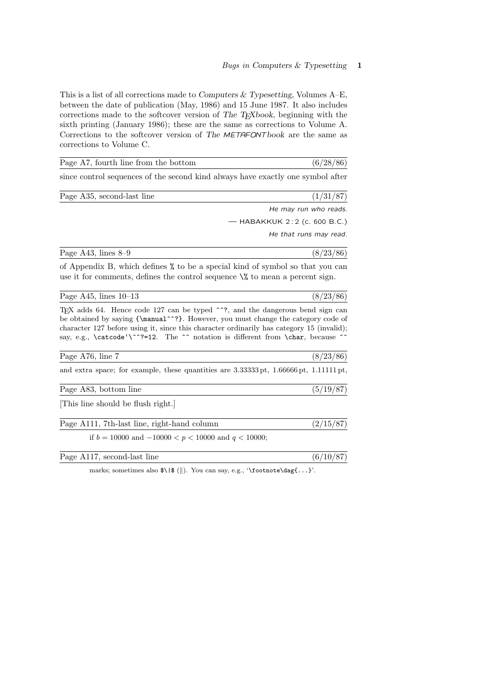$(8/23/86)$ 

This is a list of all corrections made to Computers  $&$  Typesetting, Volumes A–E, between the date of publication (May, 1986) and 15 June 1987. It also includes corrections made to the softcover version of The TEXbook, beginning with the sixth printing (January 1986); these are the same as corrections to Volume A. Corrections to the softcover version of The METAFONTbook are the same as corrections to Volume C.

| Page A7, fourth line from the bottom                                            | (6/28/86)                      |
|---------------------------------------------------------------------------------|--------------------------------|
| since control sequences of the second kind always have exactly one symbol after |                                |
| Page A35, second-last line                                                      | (1/31/87)                      |
|                                                                                 | He may run who reads.          |
|                                                                                 | — HABAKKUK $2:2$ (c. 600 B.C.) |
|                                                                                 | He that runs may read.         |
| Page A43, lines $8-9$                                                           | (8/23/86)                      |
| of Appendix B, which defines % to be a special kind of symbol so that you can   |                                |

use it for comments, defines the control sequence  $\mathcal{N}$  to mean a percent sign.

| Page A45, lines $10-13$ |  |  |
|-------------------------|--|--|
|                         |  |  |

TEX adds 64. Hence code 127 can be typed ^^?, and the dangerous bend sign can be obtained by saying  ${\max^2}$ . However, you must change the category code of character 127 before using it, since this character ordinarily has category 15 (invalid); say, e.g.,  $\csc^2-12$ . The  $\sim$  notation is different from  $\char`>char,$  because  $\sim$ 

| Page A76, line 7                                                                                                         | (8/23/86) |
|--------------------------------------------------------------------------------------------------------------------------|-----------|
| and extra space; for example, these quantities are $3.333333 \text{ pt}$ , $1.66666 \text{ pt}$ , $1.11111 \text{ pt}$ , |           |
| Page A83, bottom line                                                                                                    | (5/19/87) |
| [This line should be flush right.]                                                                                       |           |
| Page A111, 7th-last line, right-hand column                                                                              | (2/15/87) |

if  $b = 10000$  and  $-10000 < p < 10000$  and  $q < 10000$ ;

| Page A117, second-last line |  |
|-----------------------------|--|
|-----------------------------|--|

marks; sometimes also  $\{\|\}.$  You can say, e.g., '\footnote\dag{...}'.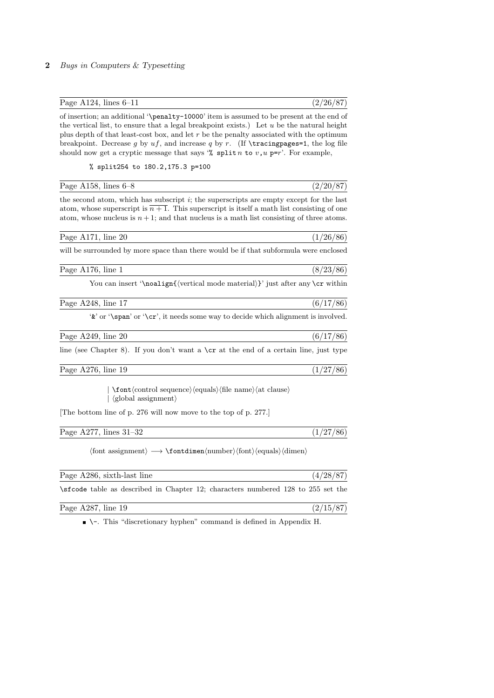| Page A124, lines $6-11$ | (2/26/87) |  |  |
|-------------------------|-----------|--|--|
|-------------------------|-----------|--|--|

of insertion; an additional '\penalty-10000' item is assumed to be present at the end of the vertical list, to ensure that a legal breakpoint exists.) Let  $u$  be the natural height plus depth of that least-cost box, and let  $r$  be the penalty associated with the optimum breakpoint. Decrease g by  $uf$ , and increase g by r. (If \tracingpages=1, the log file should now get a cryptic message that says '% split n to  $v, u$  p=r'. For example,

% split254 to 180.2,175.3 p=100

| Page A158, lines $6-8$ | (9/90/87) |
|------------------------|-----------|
|------------------------|-----------|

the second atom, which has subscript  $i$ ; the superscripts are empty except for the last atom, whose superscript is  $\overline{n+1}$ . This superscript is itself a math list consisting of one atom, whose nucleus is  $n+1$ ; and that nucleus is a math list consisting of three atoms.

| Page A171, line 20 | (1/26/86) |
|--------------------|-----------|
|--------------------|-----------|

will be surrounded by more space than there would be if that subformula were enclosed

Page A176, line 1 (8/23/86)

You can insert '\noalign{ $\vert$ \vertical mode material\}' just after any \cr within

| Page A248, line 17 | (6/17/86) |
|--------------------|-----------|
|                    |           |

'&' or '\span' or '\cr', it needs some way to decide which alignment is involved.

 $(1/27/86)$ 

| Page A249, line 20 |  |  |  | (86) |
|--------------------|--|--|--|------|
|                    |  |  |  |      |

line (see Chapter 8). If you don't want a  $\csc$  at the end of a certain line, just type

Page A276, line 19  $(1/27/86)$ 

 $\forall$  font $\langle$ control sequence $\rangle$  $\langle$ equals $\rangle$  $\langle$ file name $\rangle$  $\langle$ at clause $\rangle$  $\langle$  global assignment $\rangle$ 

[The bottom line of p. 276 will now move to the top of p. 277.]

| Page A277, lines 31–32 |  |
|------------------------|--|
|------------------------|--|

 $\langle$ font assignment $\rangle \longrightarrow \mathcal{h}$ umber $\langle$ font $\rangle$  $\langle$ equals $\rangle$  $\langle$ dimen $\rangle$ 

| Page A286, sixth-last line                                                  | (4/28/87) |
|-----------------------------------------------------------------------------|-----------|
| strively as described in Chapter 12; characters numbered 128 to 255 set the |           |
| Page A287, line $19$                                                        | (2/15/87) |

 $\blacksquare$ . This "discretionary hyphen" command is defined in Appendix H.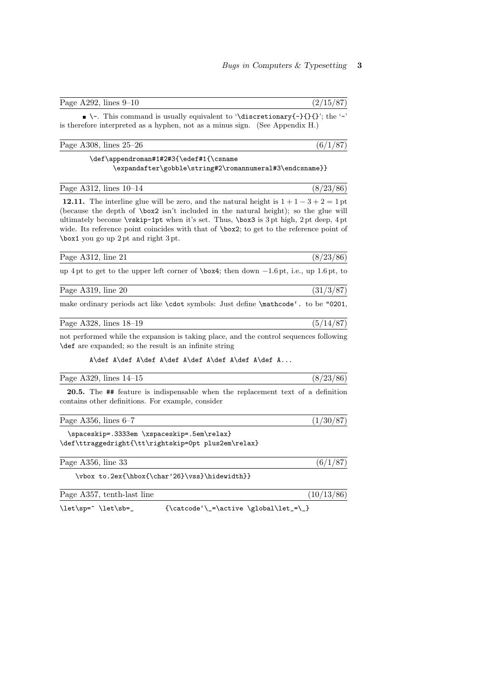| $\blacksquare$ \-. This command is usually equivalent to '\discretionary{-}{}{}'; the '-'<br>is therefore interpreted as a hyphen, not as a minus sign. (See Appendix H.)                                                                                                                                                                                                                                       |           |
|-----------------------------------------------------------------------------------------------------------------------------------------------------------------------------------------------------------------------------------------------------------------------------------------------------------------------------------------------------------------------------------------------------------------|-----------|
| Page A308, lines $25-26$                                                                                                                                                                                                                                                                                                                                                                                        |           |
| \def\appendroman#1#2#3{\edef#1{\csname<br>\expandafter\gobble\string#2\romannumeral#3\endcsname}}                                                                                                                                                                                                                                                                                                               |           |
| Page A312, lines $10-14$                                                                                                                                                                                                                                                                                                                                                                                        | (8/23/86) |
| 12.11. The interline glue will be zero, and the natural height is $1+1-3+2=1$ pt<br>(because the depth of $\boxtimes 2$ isn't included in the natural height); so the glue will<br>ultimately become \vskip-1pt when it's set. Thus, \box3 is 3pt high, 2pt deep, 4pt<br>wide. Its reference point coincides with that of \box2; to get to the reference point of<br>$\text{box1 you go up 2pt and right 3pt.}$ |           |

| Page A312, line 21 | (8/23/86) |
|--------------------|-----------|
|                    |           |

up 4 pt to get to the upper left corner of \box4; then down −1.6 pt, i.e., up 1.6 pt, to

| Page $A319$ ,<br>line 20 |  |
|--------------------------|--|
|                          |  |

make ordinary periods act like \cdot symbols: Just define \mathcode'. to be "0201,

| Page A328, lines 18-19 | (5/14/87) |  |
|------------------------|-----------|--|

not performed while the expansion is taking place, and the control sequences following \def are expanded; so the result is an infinite string

A\def A\def A\def A\def A\def A\def A\def A\def A...

| Page A329, lines $14-15$ | (8/23/86) |
|--------------------------|-----------|
|                          |           |

20.5. The ## feature is indispensable when the replacement text of a definition contains other definitions. For example, consider

Page A356, lines  $6-7$  (1/30/87)

\spaceskip=.3333em \xspaceskip=.5em\relax} \def\ttraggedright{\tt\rightskip=0pt plus2em\relax}

| Page A356, line 33                            | (6/1/87)   |
|-----------------------------------------------|------------|
| \vbox to.2ex{\hbox{\char'26}\vss}\hidewidth}} |            |
| Page A357, tenth-last line                    | (10/13/86) |

 $\label{thm:1} $$\let\sp^^{\let\sb}=\quad {\catcode'}_{=\active \global\let}=\}$ 

Page A292, lines  $9-10$  (2/15/87)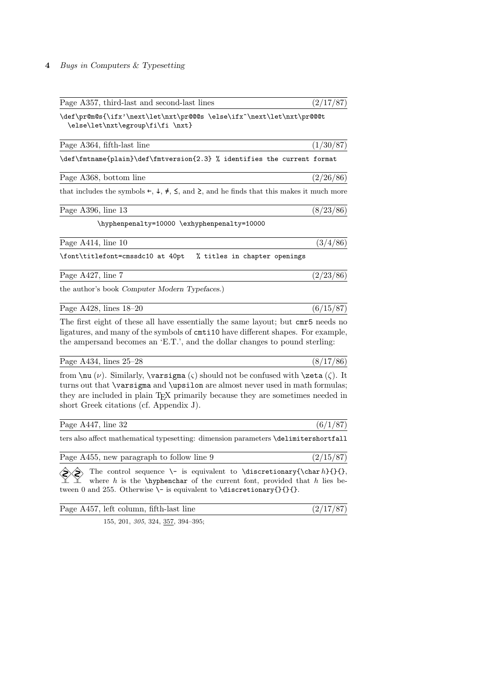| Page A357, third-last and second-last lines                                                                                                                                                                                                                                                                    | (2/17/87) |
|----------------------------------------------------------------------------------------------------------------------------------------------------------------------------------------------------------------------------------------------------------------------------------------------------------------|-----------|
| \def\pr@m@s{\ifx'\next\let\nxt\pr@@@s \else\ifx^\next\let\nxt\pr@@@t<br>\else\let\nxt\egroup\fi\fi \nxt}                                                                                                                                                                                                       |           |
| Page A364, fifth-last line                                                                                                                                                                                                                                                                                     | (1/30/87) |
| \def\fmtname{plain}\def\fmtversion{2.3} % identifies the current format                                                                                                                                                                                                                                        |           |
| Page A368, bottom line                                                                                                                                                                                                                                                                                         | (2/26/86) |
| that includes the symbols $\leftarrow$ , $\downarrow$ , $\neq$ , $\leq$ , and $\geq$ , and he finds that this makes it much more                                                                                                                                                                               |           |
| Page A396, line 13                                                                                                                                                                                                                                                                                             | (8/23/86) |
| \hyphenpenalty=10000 \exhyphenpenalty=10000                                                                                                                                                                                                                                                                    |           |
| Page A414, line 10                                                                                                                                                                                                                                                                                             | (3/4/86)  |
| \font\titlefont=cmssdc10 at 40pt % titles in chapter openings                                                                                                                                                                                                                                                  |           |
| Page A427, line 7                                                                                                                                                                                                                                                                                              | (2/23/86) |
| the author's book Computer Modern Typefaces.)                                                                                                                                                                                                                                                                  |           |
| Page A428, lines $18-20$                                                                                                                                                                                                                                                                                       | (6/15/87) |
| The first eight of these all have essentially the same layout; but cmr5 needs no<br>ligatures, and many of the symbols of cntillo have different shapes. For example,<br>the ampersand becomes an 'E.T.', and the dollar changes to pound sterling:                                                            |           |
| Page A434, lines $25-28$                                                                                                                                                                                                                                                                                       | (8/17/86) |
| from $\nu(\nu)$ . Similarly, $\varphi(\varsigma)$ should not be confused with $\zeta(\zeta)$ . It<br>turns out that \varsigma and \upsilon are almost never used in math formulas;<br>they are included in plain TEX primarily because they are sometimes needed in<br>short Greek citations (cf. Appendix J). |           |
| Page A447, line 32                                                                                                                                                                                                                                                                                             | (6/1/87)  |
| ters also affect mathematical typesetting: dimension parameters \delimitershortfall                                                                                                                                                                                                                            |           |
| Page A455, new paragraph to follow line 9                                                                                                                                                                                                                                                                      | (2/15/87) |
|                                                                                                                                                                                                                                                                                                                |           |

 $\Diamond$  The control sequence \- is equivalent to \discretionary{\char h}{}{}, where  $h$  is the  $\hbar$  supphenchar of the current font, provided that  $h$  lies between 0 and 255. Otherwise  $\setminus$ - is equivalent to  $\discretionary{}$ {}{}.

| Page A457, left column, fifth-last line |  |
|-----------------------------------------|--|
|                                         |  |

155, 201, 305, 324, 357, 394–395;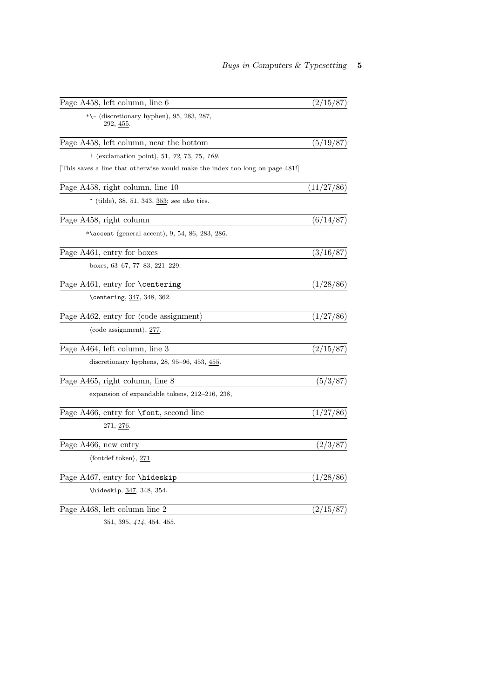| Page A458, left column, line 6                                              | (2/15/87)  |
|-----------------------------------------------------------------------------|------------|
| $*\$ – (discretionary hyphen), 95, 283, 287,<br>292, <u>455</u> .           |            |
| Page A458, left column, near the bottom                                     | (5/19/87)  |
| ! (exclamation point), 51, 72, 73, 75, $169$ .                              |            |
| This saves a line that otherwise would make the index too long on page 481! |            |
| Page A458, right column, line 10                                            | (11/27/86) |
| $\tilde{ }$ (tilde), 38, 51, 343, 353; see also ties.                       |            |
| Page A458, right column                                                     | (6/14/87)  |
| *\accent (general accent), 9, 54, 86, 283, <u>286</u> .                     |            |
| Page A461, entry for boxes                                                  | (3/16/87)  |
| boxes, $63-67$ , $77-83$ , $221-229$ .                                      |            |
| Page A461, entry for <b>\centering</b>                                      | (1/28/86)  |
| \centering, 347, 348, 362.                                                  |            |
| Page A462, entry for $\langle \text{code assignment} \rangle$               | (1/27/86)  |
| $\langle \text{code assignment} \rangle, \frac{277}{2}$                     |            |
| Page A464, left column, line 3                                              | (2/15/87)  |
| discretionary hyphens, $28, 95-96, 453, \underline{455}$ .                  |            |
| Page A465, right column, line 8                                             | (5/3/87)   |
| expansion of expandable tokens, 212–216, 238,                               |            |
| Page A466, entry for $\forall$ font, second line                            | (1/27/86)  |
| 271, <u>276</u> .                                                           |            |
| Page A466, new entry                                                        | (2/3/87)   |
| $\langle$ fontdef token $\rangle$ , 271.                                    |            |
| Page A467, entry for <i>\hideskip</i>                                       | (1/28/86)  |
| \hideskip, 347, 348, 354.                                                   |            |
| Page A468, left column line 2                                               | (2/15/87)  |
| $\Omega$                                                                    |            |

351, 395, 414, 454, 455.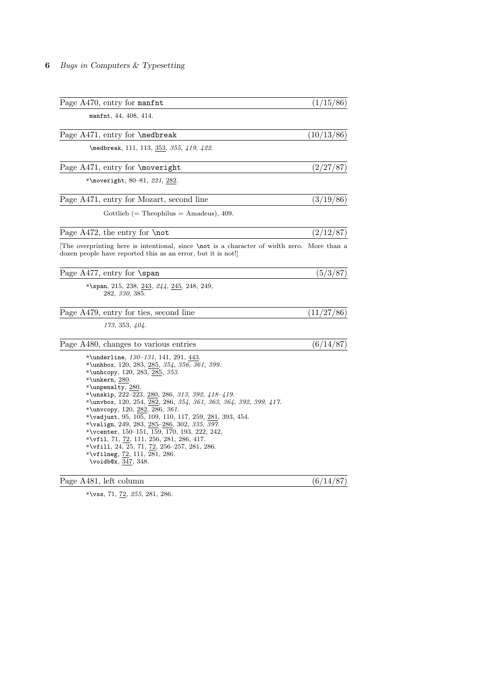| Page A470, entry for manfit                                                                                                                                                                                                                                                                                                                                                                                                                                                                                                                                                                                                                                                      | (1/15/86)  |
|----------------------------------------------------------------------------------------------------------------------------------------------------------------------------------------------------------------------------------------------------------------------------------------------------------------------------------------------------------------------------------------------------------------------------------------------------------------------------------------------------------------------------------------------------------------------------------------------------------------------------------------------------------------------------------|------------|
| manfnt, 44, 408, 414.                                                                                                                                                                                                                                                                                                                                                                                                                                                                                                                                                                                                                                                            |            |
| Page A471, entry for <b>\medbreak</b>                                                                                                                                                                                                                                                                                                                                                                                                                                                                                                                                                                                                                                            | (10/13/86) |
| \medbreak, 111, 113, 353, 355, 419, 422.                                                                                                                                                                                                                                                                                                                                                                                                                                                                                                                                                                                                                                         |            |
| Page A471, entry for \moveright                                                                                                                                                                                                                                                                                                                                                                                                                                                                                                                                                                                                                                                  | (2/27/87)  |
| *\moveright, 80-81, 221, 282.                                                                                                                                                                                                                                                                                                                                                                                                                                                                                                                                                                                                                                                    |            |
| Page A471, entry for Mozart, second line                                                                                                                                                                                                                                                                                                                                                                                                                                                                                                                                                                                                                                         | (3/19/86)  |
| Gottlieb (= Theophilus = Amadeus), $409$ .                                                                                                                                                                                                                                                                                                                                                                                                                                                                                                                                                                                                                                       |            |
| Page A472, the entry for \not                                                                                                                                                                                                                                                                                                                                                                                                                                                                                                                                                                                                                                                    | (2/12/87)  |
| The overprinting here is intentional, since \not is a character of width zero. More than a<br>dozen people have reported this as an error, but it is not!                                                                                                                                                                                                                                                                                                                                                                                                                                                                                                                        |            |
| Page A477, entry for $\$                                                                                                                                                                                                                                                                                                                                                                                                                                                                                                                                                                                                                                                         | (5/3/87)   |
| *\span, 215, 238, <u>243,</u> <i>244</i> , <u>245,</u> 248, 249,<br>282, 330, 385.                                                                                                                                                                                                                                                                                                                                                                                                                                                                                                                                                                                               |            |
| Page A479, entry for ties, second line                                                                                                                                                                                                                                                                                                                                                                                                                                                                                                                                                                                                                                           | (11/27/86) |
| 173, 353, 404.                                                                                                                                                                                                                                                                                                                                                                                                                                                                                                                                                                                                                                                                   |            |
| Page A480, changes to various entries                                                                                                                                                                                                                                                                                                                                                                                                                                                                                                                                                                                                                                            | (6/14/87)  |
| *\underline, $130-131$ , 141, 291, 443.<br>*\unhbox, 120, 283, 285, 354, 356, 361, 399.<br>*\unhcopy, 120, 283, 285, 353.<br>$*$ \unkern, 280.<br>*\unpenalty, $280$ .<br>*\unskip, 222-223, 280, 286, 313, 392, $418 - 419$ .<br>*\unvbox, 120, 254, 282, 286, 354, 361, 363, 364, 392, 399, 417.<br>*\unvcopy, 120, 282, 286, 361.<br>*\vadjust, 95, 105, 109, 110, 117, 259, 281, 393, 454.<br>*\valign, 249, 283, 285-286, 302, 335, 397.<br>*\vcenter, $150-151$ , $159$ , $170$ , $193$ , $222$ , $242$ ,<br>*\vfil, 71, 72, 111, 256, 281, 286, 417.<br>*\vfill, 24, 25, 71, $\overline{72}$ , 256–257, 281, 286.<br>*\vfilneg, 72, 111, 281, 286.<br>\voidb@x, 347, 348. |            |
| Page A481, left column                                                                                                                                                                                                                                                                                                                                                                                                                                                                                                                                                                                                                                                           | (6/14/87)  |

\*\vss, 71,  $\frac{72}{2}$ , 255, 281, 286.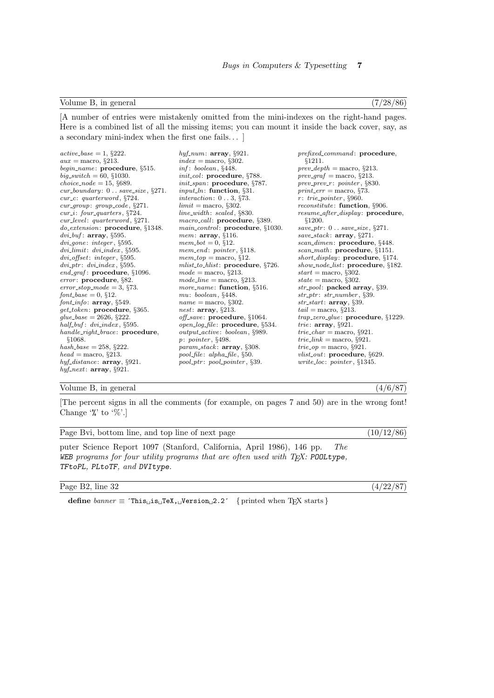# Volume B, in general  $(7/28/86)$

[A number of entries were mistakenly omitted from the mini-indexes on the right-hand pages. Here is a combined list of all the missing items; you can mount it inside the back cover, say, as a secondary mini-index when the first one fails. . . ]

| $active\_base = 1, §222.$                                    | $hyf\_num:$ array, §921.                                 | <i>prefixed_command:</i> procedure,           |
|--------------------------------------------------------------|----------------------------------------------------------|-----------------------------------------------|
| $aux = \text{macro}, \S 213.$                                | $index = macro, §302.$                                   | \$1211.                                       |
| $begin_name:$ procedure, $§515.$                             | inf: boolean, §448.                                      | $prev\_depth = macro, §213.$                  |
| $big\_switch = 60, \, \S1030.$                               | <i>init_col</i> : procedure, $§788$ .                    | $prev\_graf = macro, §213.$                   |
| <i>choice_node</i> = 15, $§689$ .                            | $init\_span$ : procedure, §787.                          | $prev\_prev\_r: pointer, §830.$               |
| $cur_b, \S271.$                                              | <i>input_ln</i> : function, $\S31$ .                     | $print_error = macro, §73.$                   |
| $cur_c:$ quarterword, $\S724.$                               | interaction: $0 \ldots 3$ , §73.                         | $r:$ trie_pointer, §960.                      |
| $cur\_group: group\_code, §271.$                             | $limit =$ macro, §302.                                   | <i>reconstitute</i> : <b>function</b> , §906. |
| $cur_i$ : four_quarters, $\S724$ .                           | $line\_width: scaled, §830.$                             | <i>resume_after_display:</i> procedure,       |
| $cur\_level:$ quarterword, $\S 271.$                         | <i>macro_call:</i> procedure, §389.                      | \$1200.                                       |
| $do\_extension:$ procedure, $§1348$ .                        | $main\_control:$ procedure, $§1030$ .                    | save_ptr: $0$ save_size, $\S 271$ .           |
| $dvi_buf$ : array, §595.                                     | <i>mem</i> : $array, §116.$                              | save_stack: $array, §271.$                    |
| $div_{\text{}}.$ $integer, \S595.$                           | $mem\_bot = 0, §12.$                                     | <i>scan_dimen</i> : <b>procedure</b> , §448.  |
| dvilimit: dvilindex, §595.                                   | $mem\_end: pointer, §118.$                               | $scan\_math: proceedure, \S1151.$             |
| $div_{\text{-}}\text{offset}: \text{ integer}, \text{$}595.$ | $mem\_top = macro, §12.$                                 | short_display: $procedure, \S174.$            |
| $div\_ptr$ : $dvi\_index$ , §595.                            | $mlist_to_hlist: procedure, \S726.$                      | <i>show_node_list:</i> procedure, §182.       |
| $end_{\mathcal{A}}$ raf: procedure, §1096.                   | $mode = \text{macro}, \, \S213.$                         | $start =$ macro, §302.                        |
| $error: procedure, \S 82.$                                   | $mode\_line =$ macro, §213.                              | $state = macro, \S302.$                       |
| $error\_stop\_mode = 3, §73.$                                | more_name: function, §516.                               | $str\_pool$ : packed array, §39.              |
| $font\_base = 0$ , §12.                                      | $mu: \, boolean, \, \S448.$                              | $str\_ptr$ : $str\_number$ , §39.             |
| $font\_info: array, §549.$                                   | $name = macro, §302.$                                    | $str\_start$ : array, §39.                    |
| $get\_token$ : procedure, §365.                              | <i>nest</i> : $array, §213.$                             | $tail =$ macro, §213.                         |
| qlue_base = 2626, $§222$ .                                   | <i>off_save</i> : $procedure$ , $§1064$ .                | $trap\_zero\_glue$ : procedure, $§1229$ .     |
| $half_buf: dvi_index, §595.$                                 | $open\_log\_file$ : procedure, $§534$ .                  | trie: $array, §921.$                          |
| handle_right_brace: procedure,                               | $output\_active: boolean, \S 989.$                       | $trie\_char = \text{macro}, \S 921.$          |
| §1068.                                                       | p: pointer, §498.                                        | <i>trie_link</i> = macro, $\S 921$ .          |
| $hash\_base = 258, §222.$                                    | <i>param_stack</i> : $array, \S 308.$                    | $trie\_op = \text{macro}, \S 921.$            |
| $head = \text{macro}, \, \S213.$                             | $pool_{\text{file}: \text{alpha} - \text{file}, \S 50.}$ | <i>vlist_out</i> : procedure, $\S629$ .       |
| $h y f\_distance$ : $array, §921.$                           | $pool\_ptr$ : $pool\_pointer$ , §39.                     | <i>write_loc: pointer</i> , $§1345$ .         |
| hyf_next: $array, \S 921.$                                   |                                                          |                                               |
|                                                              |                                                          |                                               |

### Volume B, in general  $(4/6/87)$

[The percent signs in all the comments (for example, on pages 7 and 50) are in the wrong font! Change  $\%$  to  $\%$ .]

Page Bvi, bottom line, and top line of next page (10/12/86)

puter Science Report 1097 (Stanford, California, April 1986), 146 pp. The WEB programs for four utility programs that are often used with TEX: POOLtype, TFtoPL, PLtoTF, and DVItype.

Page B2, line 32 (4/22/87)

define  $\text{banner} \equiv \text{`This}\_\text{iS}\_\text{r}$ TeX,  $\text{``Jversion}\_2.2\text{'}$  { printed when TEX starts }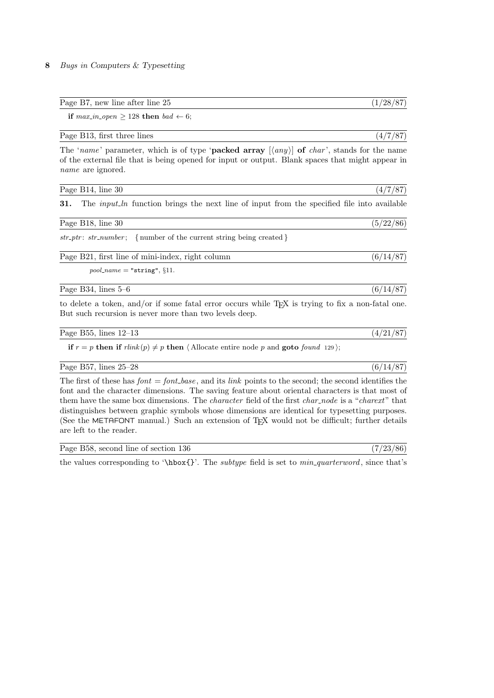| Page<br>$l_{\text{max}}$ or<br>fter line<br>new line a<br>atter<br>ו כ<br>∠⊌<br>-- | - |
|------------------------------------------------------------------------------------|---|
|------------------------------------------------------------------------------------|---|

if  $max_in\_open \geq 128$  then  $bad \leftarrow 6;$ 

| (4/7/87)<br>Page B13, first three lines |  |  |  |
|-----------------------------------------|--|--|--|
|-----------------------------------------|--|--|--|

The 'name' parameter, which is of type '**packed array**  $\langle \langle any \rangle$  of *char'*, stands for the name of the external file that is being opened for input or output. Blank spaces that might appear in name are ignored.

| Page B14, line 30                                                                                                                                                       | (4/7/87)  |
|-------------------------------------------------------------------------------------------------------------------------------------------------------------------------|-----------|
| 31.<br>The <i>input-ln</i> function brings the next line of input from the specified file into available                                                                |           |
| Page B18, line 30                                                                                                                                                       | (5/22/86) |
| $str\_ptr: str\_number;$ { number of the current string being created }                                                                                                 |           |
| Page B21, first line of mini-index, right column                                                                                                                        | (6/14/87) |
| $pool_name = "string", §11.$                                                                                                                                            |           |
| Page B34, lines $5-6$                                                                                                                                                   | (6/14/87) |
| to delete a token, and/or if some fatal error occurs while T <sub>F</sub> X is trying to fix a non-fatal one.<br>But such recursion is never more than two levels deep. |           |

Page B55, lines  $12-13$  (4/21/87)

if  $r = p$  then if  $\text{rlink}(p) \neq p$  then  $\langle$  Allocate entire node p and goto found 129 $\rangle$ ;

### Page B57, lines 25–28 (6/14/87)

The first of these has  $font = font\_base$ , and its *link* points to the second; the second identifies the font and the character dimensions. The saving feature about oriental characters is that most of them have the same box dimensions. The *character* field of the first *char\_node* is a "*charext*" that distinguishes between graphic symbols whose dimensions are identical for typesetting purposes. (See the METAFONT manual.) Such an extension of T<sub>E</sub>X would not be difficult; further details are left to the reader.

| Page B58, second line of section 136 | (7/23/86) |  |  |  |
|--------------------------------------|-----------|--|--|--|
|--------------------------------------|-----------|--|--|--|

the values corresponding to '\hbox{}'. The *subtype* field is set to  $min\_quarterword$ , since that's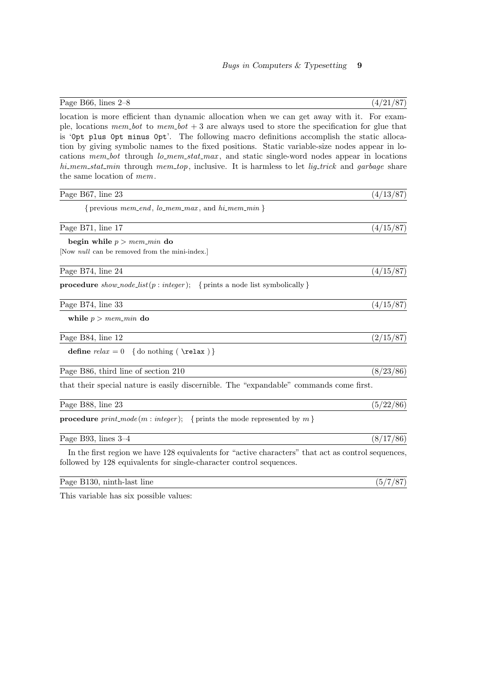| Page B66, lines $2-8$                                                                                                                                                                                                                                                                                                                                                                                                                                                                                                                                                                                                         | (4/21/87) |
|-------------------------------------------------------------------------------------------------------------------------------------------------------------------------------------------------------------------------------------------------------------------------------------------------------------------------------------------------------------------------------------------------------------------------------------------------------------------------------------------------------------------------------------------------------------------------------------------------------------------------------|-----------|
| location is more efficient than dynamic allocation when we can get away with it. For exam-<br>ple, locations $mem\_bot$ to $mem\_bot + 3$ are always used to store the specification for glue that<br>is 'Opt plus Opt minus Opt'. The following macro definitions accomplish the static alloca-<br>tion by giving symbolic names to the fixed positions. Static variable-size nodes appear in lo-<br>cations mem-bot through lo_mem_stat_max, and static single-word nodes appear in locations<br>hi_mem_stat_min through mem_top, inclusive. It is harmless to let lig_trick and garbage share<br>the same location of mem. |           |
| Page B67, line 23                                                                                                                                                                                                                                                                                                                                                                                                                                                                                                                                                                                                             | (4/13/87) |
| { previous $mem\_end$ , $lo\_mem\_max$ , and $hi\_mem\_min$ }                                                                                                                                                                                                                                                                                                                                                                                                                                                                                                                                                                 |           |
| Page B71, line 17                                                                                                                                                                                                                                                                                                                                                                                                                                                                                                                                                                                                             | (4/15/87) |
| begin while $p > mem\_min$ do<br>[Now <i>null</i> can be removed from the mini-index.]                                                                                                                                                                                                                                                                                                                                                                                                                                                                                                                                        |           |
| Page B74, line 24                                                                                                                                                                                                                                                                                                                                                                                                                                                                                                                                                                                                             | (4/15/87) |
| <b>procedure</b> show_node_list(p: integer); { prints a node list symbolically }                                                                                                                                                                                                                                                                                                                                                                                                                                                                                                                                              |           |
| Page B74, line 33                                                                                                                                                                                                                                                                                                                                                                                                                                                                                                                                                                                                             | (4/15/87) |
| while $p > mem\_min$ do                                                                                                                                                                                                                                                                                                                                                                                                                                                                                                                                                                                                       |           |
| Page B84, line 12                                                                                                                                                                                                                                                                                                                                                                                                                                                                                                                                                                                                             | (2/15/87) |
| define $relax = 0$ {do nothing (\relax)}                                                                                                                                                                                                                                                                                                                                                                                                                                                                                                                                                                                      |           |
| Page B86, third line of section 210                                                                                                                                                                                                                                                                                                                                                                                                                                                                                                                                                                                           | (8/23/86) |
| that their special nature is easily discernible. The "expandable" commands come first.                                                                                                                                                                                                                                                                                                                                                                                                                                                                                                                                        |           |
| Page B88, line 23                                                                                                                                                                                                                                                                                                                                                                                                                                                                                                                                                                                                             | (5/22/86) |
| <b>procedure</b> $print-mode(m: integer);$ {prints the mode represented by m}                                                                                                                                                                                                                                                                                                                                                                                                                                                                                                                                                 |           |
| Page B93, lines $3-4$                                                                                                                                                                                                                                                                                                                                                                                                                                                                                                                                                                                                         | (8/17/86) |
| In the first region we have 128 equivalents for "active characters" that act as control sequences,<br>followed by 128 equivalents for single-character control sequences.                                                                                                                                                                                                                                                                                                                                                                                                                                                     |           |
| Page B130, ninth-last line                                                                                                                                                                                                                                                                                                                                                                                                                                                                                                                                                                                                    | (5/7/87)  |

This variable has six possible values: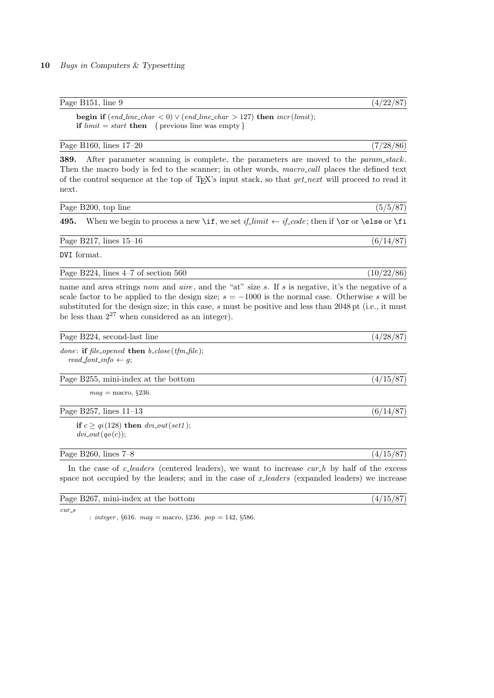# Page B151, line 9  $(4/22/87)$

begin if  $(\text{end\_line} \cdot \text{char} < 0) \vee (\text{end\_line} \cdot \text{char} > 127)$  then  $\text{incr}(\text{limit});$ if  $limit = start$  then { previous line was empty }

## Page B160, lines 17–20 (7/28/86)

|       | <b>389.</b> After parameter scanning is complete, the parameters are moved to the <i>param_stack</i> .                |
|-------|-----------------------------------------------------------------------------------------------------------------------|
|       | Then the macro body is fed to the scanner; in other words, macro_call places the defined text                         |
|       | of the control sequence at the top of T <sub>F</sub> X's input stack, so that <i>get_next</i> will proceed to read it |
| next. |                                                                                                                       |

| Page B200, top line |  |  |  |
|---------------------|--|--|--|

495. When we begin to process a new \if, we set if limit  $\leftarrow$  if code; then if \or or \else or \fi

Page B217, lines  $15-16$  (6/14/87)

DVI format.

Page B224, lines  $4-7$  of section  $560$  (10/22/86)

name and area strings nom and aire, and the "at" size s. If s is negative, it's the negative of a scale factor to be applied to the design size;  $s = -1000$  is the normal case. Otherwise s will be substituted for the design size; in this case, s must be positive and less than 2048 pt (i.e., it must be less than  $2^{27}$  when considered as an integer).

| Page B224, second-last line   |                                           |  |  |  |
|-------------------------------|-------------------------------------------|--|--|--|
| $\bullet$ $\bullet$ $\bullet$ | $\sim$ $\sim$ $\sim$ $\sim$ $\sim$ $\sim$ |  |  |  |

done: if file\_opened then  $b\_close$  (tfm\_file);  $read\_font\_info \leftarrow g;$ 

Page B255, mini-index at the bottom (4/15/87)

 $mag =$  macro,  $§236$ .

Page B257, lines  $11-13$  (6/14/87)

if  $c \ge qi(128)$  then  $dvi_$ it(set1);  $dvi$ -out $(qo(c))$ ;

## Page B260, lines 7–8 (4/15/87)

In the case of c-leaders (centered leaders), we want to increase  $cur_h$  by half of the excess space not occupied by the leaders; and in the case of x-leaders (expanded leaders) we increase

# Page B267, mini-index at the bottom  $(4/15/87)$

cur s

: integer,  $§616. mag = macro, §236. pop = 142, §586.$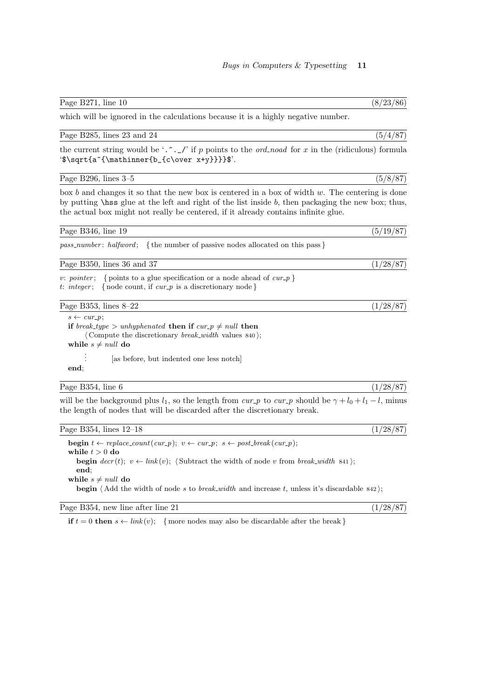| (8/23/86)<br>Page $B271$ , line 10 |  |  |
|------------------------------------|--|--|
|------------------------------------|--|--|

which will be ignored in the calculations because it is a highly negative number.

## Page B285, lines 23 and 24 (5/4/87)

the current string would be '.  $\hat{C}$ .  $\hat{I}$  if p points to the *ord noad* for x in the (ridiculous) formula '\$\sqrt{a^{\mathinner{b\_{c\over x+y}}}}\$'.

### Page B296, lines 3–5 (5/8/87)

box b and changes it so that the new box is centered in a box of width  $w$ . The centering is done by putting \hss glue at the left and right of the list inside b, then packaging the new box; thus, the actual box might not really be centered, if it already contains infinite glue.

Page B346, line 19  $(5/19/87)$ 

 $pass_number: \; halfword; \; { the number of passive nodes allocated on this pass }$ 

Page B350, lines 36 and 37 (1/28/87)

v: pointer; { points to a glue specification or a node ahead of  $cur_p$ } t: integer; { node count, if  $cur_p$  is a discretionary node}

Page B353, lines 8–22 (1/28/87)

 $s \leftarrow cur\_p$ ; if break\_type > unhyphenated then if  $cur_p \neq null$  then  $\langle$  Compute the discretionary *break\_width* values 840 $\rangle$ ; while  $s \neq null$  do . . . [as before, but indented one less notch]

end;

## Page B354, line 6 (1/28/87)

will be the background plus  $l_1$ , so the length from cur p to cur p should be  $\gamma + l_0 + l_1 - l$ , minus the length of nodes that will be discarded after the discretionary break.

| Page B354, lines 12–18                                                                                                | (1/28/87) |
|-----------------------------------------------------------------------------------------------------------------------|-----------|
| <b>begin</b> $t \leftarrow replace\_count(cur_p); v \leftarrow cur_p; s \leftarrow post\_break(cur_p);$               |           |
| while $t > 0$ do                                                                                                      |           |
| <b>begin</b> $decr(t); v \leftarrow link(v);$ (Subtract the width of node v from break-width 841);                    |           |
| end:                                                                                                                  |           |
| while $s \neq null$ do                                                                                                |           |
| <b>begin</b> $\langle$ Add the width of node s to <i>break_width</i> and increase t, unless it's discardable $842$ ); |           |

Page B354, new line after line 21  $(1/28/87)$ 

if  $t = 0$  then  $s \leftarrow link(v)$ ; { more nodes may also be discardable after the break }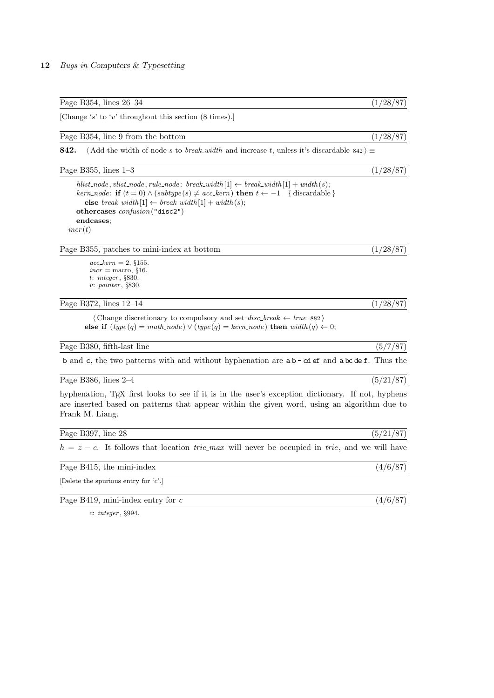|  |  | Page B354, lines 26–34 |  |  |  |
|--|--|------------------------|--|--|--|
|--|--|------------------------|--|--|--|

[Change 's' to 'v' throughout this section (8 times).]

| Page B354, line 9 from the bottom |  | (1/28/87) |  |  |
|-----------------------------------|--|-----------|--|--|
|-----------------------------------|--|-----------|--|--|

842.  $\langle$  Add the width of node s to *break width* and increase t, unless it's discardable 842  $\rangle \equiv$ 

| Page B355, lines $1-3$                                                                          | /87) |
|-------------------------------------------------------------------------------------------------|------|
| hlist_node, vlist_node, rule_node: break_width $[1] \leftarrow break\_width[1] + width(s);$     |      |
| kern_node: if $(t = 0) \wedge (subtype(s) \neq acc\_kern)$ then $t \leftarrow -1$ {discardable} |      |
| else break_width $[1] \leftarrow break\_width[1] + width(s);$                                   |      |
| othercases $\text{confusion}$ ("disc2")                                                         |      |
| endcases:                                                                                       |      |
| incr(t)                                                                                         |      |

Page B355, patches to mini-index at bottom (1/28/87)

 $acc\_{\ell} = 2, \S 155$ .  $incr = \text{macro}, \,$ §16. t: integer , §830. v: pointer , §830.

Page B372, lines 12–14 (1/28/87)

 $\langle$  Change discretionary to compulsory and set *disc*-break  $\leftarrow$  true 882 $\rangle$ else if  $(type(q) = math-node) \vee (type(q) = kern-node)$  then  $width(q) \leftarrow 0;$ 

Page B380, fifth-last line (5/7/87)

b and c, the two patterns with and without hyphenation are  $ab - cd$  ef and  $abc$  def. Thus the

Page B386, lines 2–4 (5/21/87)

hyphenation, T<sub>E</sub>X first looks to see if it is in the user's exception dictionary. If not, hyphens are inserted based on patterns that appear within the given word, using an algorithm due to Frank M. Liang.

| Page B397, line 28                                                                                              | (5/21/87) |
|-----------------------------------------------------------------------------------------------------------------|-----------|
| $h = z - c$ . It follows that location <i>trie-max</i> will never be occupied in <i>trie</i> , and we will have |           |
| Page B415, the mini-index                                                                                       | (4/6/87)  |
| [Delete the spurious entry for $c'.$ ]                                                                          |           |
| Page B419, mini-index entry for $c$                                                                             | (4/6/87)  |

c: integer , §994.

 $(1/28/87)$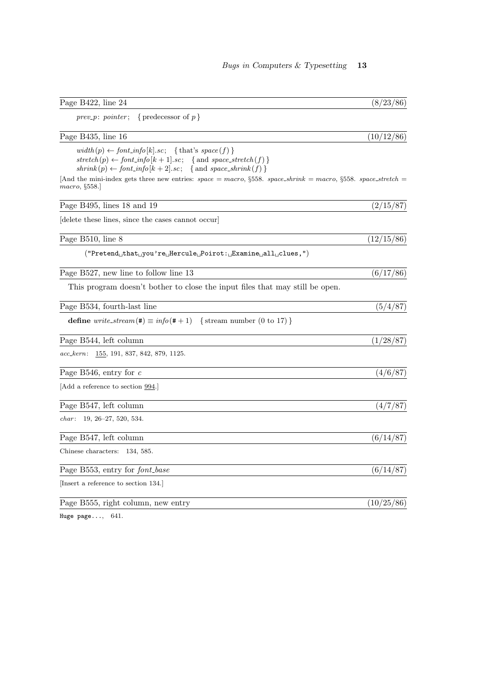| Page B422, line 24                                                                                                                                                                                           | (8/23/86)  |
|--------------------------------------------------------------------------------------------------------------------------------------------------------------------------------------------------------------|------------|
| { predecessor of $p$ }<br>$prev\_p: pointer;$                                                                                                                                                                |            |
| Page B435, line 16                                                                                                                                                                                           | (10/12/86) |
| $width(p) \leftarrow font\_info[k].sc; \{ that's space(f)\}$<br>$stretch(p) \leftarrow font_info[k+1].sc; \{ and space\_stretch(f)\}$<br>$shrink(p) \leftarrow font_info[k+2].sc; \{ and space\_shrink(f)\}$ |            |
| And the mini-index gets three new entries: $space = macro$ , $§558$ . $space\_shrink = macro$ , $§558$ . $space\_stretch =$<br>macro, §558.                                                                  |            |
| Page B495, lines 18 and 19                                                                                                                                                                                   | (2/15/87)  |
| delete these lines, since the cases cannot occur                                                                                                                                                             |            |
| Page B510, line 8                                                                                                                                                                                            | (12/15/86) |
| $("Pretend_U that_U you're_UHercule_UPoint: _UExamine_Uall_U clues,")$                                                                                                                                       |            |
| Page B527, new line to follow line 13                                                                                                                                                                        | (6/17/86)  |
| This program doesn't bother to close the input files that may still be open.                                                                                                                                 |            |
| Page B534, fourth-last line                                                                                                                                                                                  | (5/4/87)   |
| define $write\_stream(\#) \equiv info(\# + 1)$<br>{ stream number $(0 \text{ to } 17)$ }                                                                                                                     |            |
| Page B544, left column                                                                                                                                                                                       | (1/28/87)  |
| $acc\text{-}kern: \quad 155, 191, 837, 842, 879, 1125.$                                                                                                                                                      |            |
| Page B546, entry for $c$                                                                                                                                                                                     | (4/6/87)   |
| [Add a reference to section 994.]                                                                                                                                                                            |            |
| Page B547, left column                                                                                                                                                                                       | (4/7/87)   |
| <i>char</i> : 19, 26-27, 520, 534.                                                                                                                                                                           |            |
| Page B547, left column                                                                                                                                                                                       | (6/14/87)  |
| Chinese characters: 134, 585.                                                                                                                                                                                |            |
| Page B553, entry for font_base                                                                                                                                                                               | (6/14/87)  |
| [Insert a reference to section 134.]                                                                                                                                                                         |            |
| Page B555, right column, new entry                                                                                                                                                                           | (10/25/86) |

Huge page..., 641.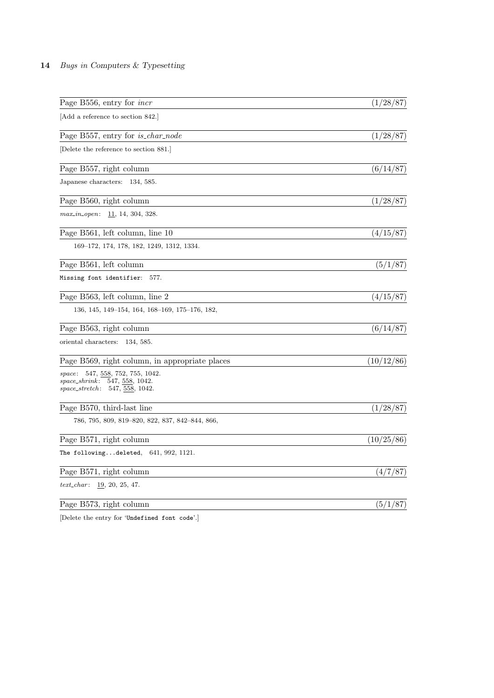| Page B556, entry for <i>incr</i>                                                                          | (1/28/87)  |
|-----------------------------------------------------------------------------------------------------------|------------|
| Add a reference to section 842.                                                                           |            |
| Page B557, entry for <i>is_char_node</i>                                                                  | (1/28/87)  |
| Delete the reference to section 881.                                                                      |            |
| Page B557, right column                                                                                   | (6/14/87)  |
| Japanese characters: 134, 585.                                                                            |            |
| Page B560, right column                                                                                   | (1/28/87)  |
| $max_in\_open: \quad \underline{11}, 14, 304, 328.$                                                       |            |
| Page B561, left column, line 10                                                                           | (4/15/87)  |
| 169–172, 174, 178, 182, 1249, 1312, 1334.                                                                 |            |
| Page B561, left column                                                                                    | (5/1/87)   |
| Missing font identifier:<br>577.                                                                          |            |
| Page B563, left column, line 2                                                                            | (4/15/87)  |
| 136, 145, 149–154, 164, 168–169, 175–176, 182,                                                            |            |
| Page B563, right column                                                                                   | (6/14/87)  |
| oriental characters: 134, 585.                                                                            |            |
| Page B569, right column, in appropriate places                                                            | (10/12/86) |
| space: 547, 558, 752, 755, 1042.<br>$space\_shrink: 547, 558, 1042.$<br>$space\_stretch: 547, 558, 1042.$ |            |
| Page B570, third-last line                                                                                | (1/28/87)  |
| 786, 795, 809, 819–820, 822, 837, 842–844, 866,                                                           |            |
| Page B571, right column                                                                                   | (10/25/86) |
| The followingdeleted, $641, 992, 1121$ .                                                                  |            |
| Page B571, right column                                                                                   | (4/7/87)   |
| $text\_char: 19, 20, 25, 47.$                                                                             |            |
| Page B573, right column                                                                                   | (5/1/87)   |
|                                                                                                           |            |

[Delete the entry for 'Undefined font code'.]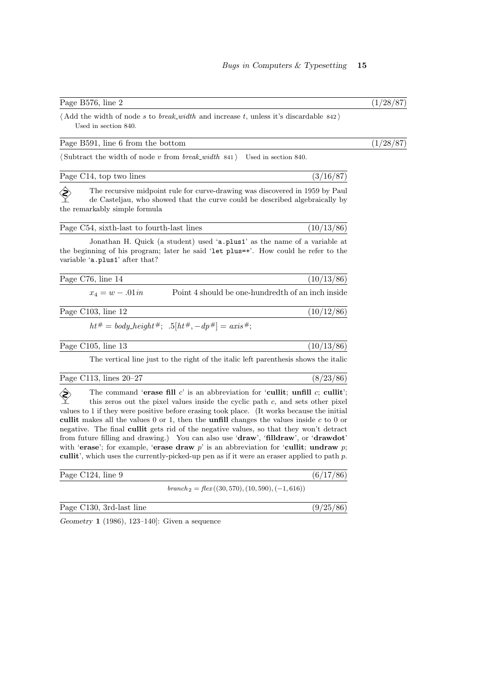# Page B576, line 2 (1/28/87)

 $\langle$  Add the width of node s to *break width* and increase t, unless it's discardable 842 $\rangle$ Used in section 840.

# Page B591, line 6 from the bottom  $(1/28/87)$

 $\langle$  Subtract the width of node v from *break\_width* 841  $\rangle$  Used in section 840.

| Page C14, top two lines |  |
|-------------------------|--|
|                         |  |

 $\diamondsuit$  The recursive midpoint rule for curve-drawing was discovered in 1959 by Paul de Casteljau, who showed that the curve could be described algebraically by the remarkably simple formula

| Page C54, sixth-last to fourth-last lines | (10/13/86) |
|-------------------------------------------|------------|
|                                           |            |

Jonathan H. Quick (a student) used 'a.plus1' as the name of a variable at the beginning of his program; later he said 'let plus=+'. How could he refer to the variable 'a.plus1' after that?

| Page C76, line 14 |                      |          |  |  |  |  | (10/13/86) |  |
|-------------------|----------------------|----------|--|--|--|--|------------|--|
|                   | $\sim$ $\sim$ $\sim$ | -------- |  |  |  |  |            |  |

 $x_4 = w - 0.01in$  Point 4 should be one-hundredth of an inch inside

Page C103, line 12 (10/12/86)

 $ht^{\#} = body\_height^{\#};$  .5 $[ht^{\#}, -dp^{\#}] = axis^{\#};$ 

Page C105, line 13 (10/13/86)

The vertical line just to the right of the italic left parenthesis shows the italic

Page C113, lines 20–27 (8/23/86)

The command 'erase fill c' is an abbreviation for 'cullit; unfill c; cullit';<br>this zeros out the pixel values inside the cyclic path c, and sets other pixel this zeros out the pixel values inside the cyclic path  $c$ , and sets other pixel values to 1 if they were positive before erasing took place. (It works because the initial cullit makes all the values  $0$  or 1, then the **unfill** changes the values inside  $c$  to  $0$  or negative. The final cullit gets rid of the negative values, so that they won't detract from future filling and drawing.) You can also use 'draw', 'filldraw', or 'drawdot' with 'erase'; for example, 'erase draw  $p$ ' is an abbreviation for 'cullit; undraw  $p$ ; cullit', which uses the currently-picked-up pen as if it were an eraser applied to path  $p$ .

| Page C124, line 9 |                                                    | (6/17/86) |
|-------------------|----------------------------------------------------|-----------|
|                   | $branch_2 = flex((30, 570), (10, 590), (-1, 616))$ |           |

Page C130, 3rd-last line (9/25/86)

Geometry 1 (1986), 123–140]: Given a sequence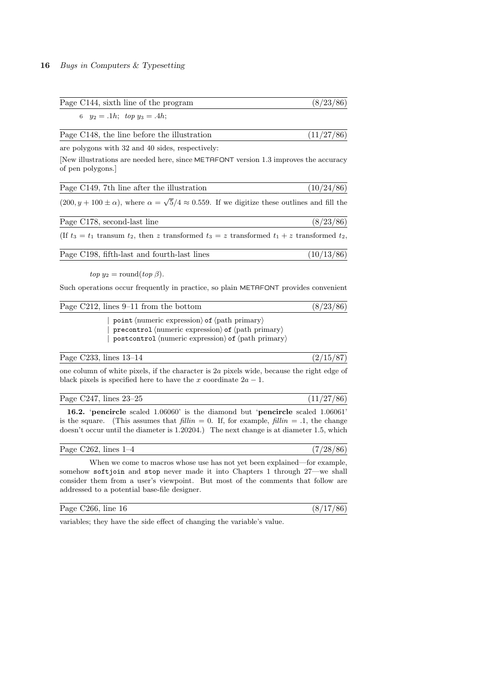| Page C144, sixth line of the program                                                                                                                                                                                   | (8/23/86)  |
|------------------------------------------------------------------------------------------------------------------------------------------------------------------------------------------------------------------------|------------|
| 6 $y_2 = .1h$ ; $top y_3 = .4h$ ;                                                                                                                                                                                      |            |
| Page C148, the line before the illustration                                                                                                                                                                            | (11/27/86) |
| are polygons with 32 and 40 sides, respectively:                                                                                                                                                                       |            |
| New illustrations are needed here, since METAFONT version 1.3 improves the accuracy<br>of pen polygons.                                                                                                                |            |
| Page C149, 7th line after the illustration                                                                                                                                                                             | (10/24/86) |
| $(200, y + 100 \pm \alpha)$ , where $\alpha = \sqrt{5}/4 \approx 0.559$ . If we digitize these outlines and fill the                                                                                                   |            |
| Page C178, second-last line                                                                                                                                                                                            | (8/23/86)  |
| (If $t_3 = t_1$ transum $t_2$ , then z transformed $t_3 = z$ transformed $t_1 + z$ transformed $t_2$ ,                                                                                                                 |            |
| Page C198, fifth-last and fourth-last lines                                                                                                                                                                            | (10/13/86) |
| $top y_2 = round(top \beta).$                                                                                                                                                                                          |            |
| Such operations occur frequently in practice, so plain METAFONT provides convenient                                                                                                                                    |            |
| Page C212, lines 9-11 from the bottom                                                                                                                                                                                  | (8/23/86)  |
| point $\langle$ numeric expression $\rangle$ of $\langle$ path primary $\rangle$<br>precontrol (numeric expression) of $\langle$ path primary $\rangle$<br>postcontrol (numeric expression) of $\langle$ path primary) |            |
| Page C233, lines $13-14$                                                                                                                                                                                               | (2/15/87)  |
| one column of white pixels, if the character is 2a pixels wide, because the right edge of<br>black pixels is specified here to have the x coordinate $2a - 1$ .                                                        |            |

| Page C247 | <u>.</u> | $\frac{1}{2}$ , lines 23–25 |  |  |  |  |  |  |  |
|-----------|----------|-----------------------------|--|--|--|--|--|--|--|
|           |          |                             |  |  |  |  |  |  |  |

16.2. 'pencircle scaled 1.06060' is the diamond but 'pencircle scaled 1.06061' is the square. (This assumes that  $\text{fillin} = 0$ . If, for example,  $\text{fillin} = .1$ , the change doesn't occur until the diameter is 1.20204.) The next change is at diameter 1.5, which

| Page C262, lines $1-4$ |  | (28/86) |  |  |  |  |
|------------------------|--|---------|--|--|--|--|
| ----                   |  |         |  |  |  |  |

When we come to macros whose use has not yet been explained—for example, somehow softjoin and stop never made it into Chapters 1 through 27—we shall consider them from a user's viewpoint. But most of the comments that follow are addressed to a potential base-file designer.

| Page $C266$ , line 16 |  |  |  |  |  |  |
|-----------------------|--|--|--|--|--|--|
|                       |  |  |  |  |  |  |

variables; they have the side effect of changing the variable's value.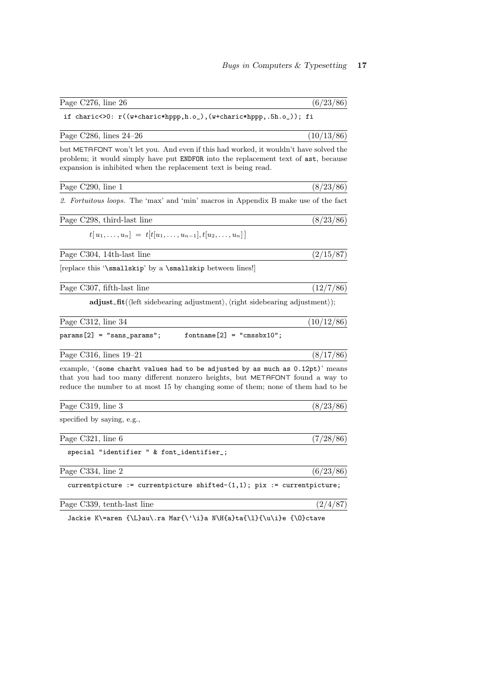| Page C276, line 26                                                                                                                                                                                                                                   | (6/23/86)  |
|------------------------------------------------------------------------------------------------------------------------------------------------------------------------------------------------------------------------------------------------------|------------|
| if charic<>0: r((w+charic*hppp,h.o_),(w+charic*hppp,.5h.o_)); fi                                                                                                                                                                                     |            |
| Page C286, lines $24-26$                                                                                                                                                                                                                             | (10/13/86) |
| but METAFONT won't let you. And even if this had worked, it wouldn't have solved the<br>problem; it would simply have put <b>ENDFOR</b> into the replacement text of ast, because<br>expansion is inhibited when the replacement text is being read. |            |
| Page C290, line 1                                                                                                                                                                                                                                    | (8/23/86)  |
| 2. Fortuitous loops. The 'max' and 'min' macros in Appendix B make use of the fact                                                                                                                                                                   |            |
| Page C298, third-last line                                                                                                                                                                                                                           | (8/23/86)  |
| $t[u_1,\ldots,u_n] = t[t[u_1,\ldots,u_{n-1}],t[u_2,\ldots,u_n]]$                                                                                                                                                                                     |            |
| Page C304, 14th-last line                                                                                                                                                                                                                            | (2/15/87)  |
| [replace this '\smallskip' by a \smallskip between lines!]                                                                                                                                                                                           |            |
| Page C307, fifth-last line                                                                                                                                                                                                                           | (12/7/86)  |
| adjust_fit(\left sidebearing adjustment), \right sidebearing adjustment));                                                                                                                                                                           |            |
| Page C312, line 34                                                                                                                                                                                                                                   | (10/12/86) |
| $fontname[2] = "cmssbx10";$<br>$params[2] = "sans_params";$                                                                                                                                                                                          |            |
| Page C316, lines $19-21$                                                                                                                                                                                                                             | (8/17/86)  |
| example, '(some charht values had to be adjusted by as much as 0.12pt)' means<br>that you had too many different nonzero heights, but METAFONT found a way to<br>reduce the number to at most 15 by changing some of them; none of them had to be    |            |
| Page C319, line 3                                                                                                                                                                                                                                    | (8/23/86)  |
| specified by saying, e.g.,                                                                                                                                                                                                                           |            |
| Page C321, line 6                                                                                                                                                                                                                                    | (7/28/86)  |
| special "identifier " & font_identifier_;                                                                                                                                                                                                            |            |
| Page C334, line 2                                                                                                                                                                                                                                    | (6/23/86)  |
| currentpicture := currentpicture shifted- $(1,1)$ ; pix := currentpicture;                                                                                                                                                                           |            |
| Page C339, tenth-last line                                                                                                                                                                                                                           | (2/4/87)   |

Jackie K\=aren {\L}au\.ra Mar{\'\i}a N\H{a}ta{\l}{\u\i}e {\O}ctave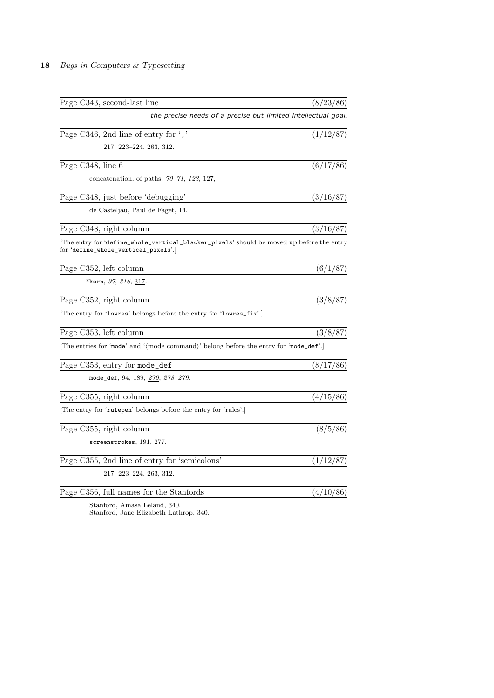| Page C343, second-last line                                                                                                     | (8/23/86) |
|---------------------------------------------------------------------------------------------------------------------------------|-----------|
| the precise needs of a precise but limited intellectual goal.                                                                   |           |
| Page C346, 2nd line of entry for $\cdot$ ;                                                                                      | (1/12/87) |
| 217, 223–224, 263, 312.                                                                                                         |           |
| Page C348, line 6                                                                                                               | (6/17/86) |
| concatenation, of paths, $70-71$ , 123, 127,                                                                                    |           |
| Page C348, just before 'debugging'                                                                                              | (3/16/87) |
| de Casteljau, Paul de Faget, 14.                                                                                                |           |
| Page C348, right column                                                                                                         | (3/16/87) |
| The entry for 'define_whole_vertical_blacker_pixels' should be moved up before the entry<br>for 'define_whole_vertical_pixels'. |           |
| Page C352, left column                                                                                                          | (6/1/87)  |
| *kern, <i>97, 316</i> , <u>317</u> .                                                                                            |           |
| Page C352, right column                                                                                                         | (3/8/87)  |
| The entry for 'lowres' belongs before the entry for 'lowres_fix'.                                                               |           |
| Page C353, left column                                                                                                          | (3/8/87)  |
| The entries for 'mode' and '(mode command)' belong before the entry for 'mode_def'.                                             |           |
| Page C353, entry for mode_def                                                                                                   | (8/17/86) |
| mode_def, 94, 189, 270, 278-279.                                                                                                |           |
| Page C355, right column                                                                                                         | (4/15/86) |
| [The entry for 'rulepen' belongs before the entry for 'rules'.]                                                                 |           |
| Page C355, right column                                                                                                         | (8/5/86)  |
| $screen$ screenstrokes, $191, 277.$                                                                                             |           |
| Page C355, 2nd line of entry for 'semicolons'                                                                                   | (1/12/87) |
| 217, 223–224, 263, 312.                                                                                                         |           |
| Page C356, full names for the Stanfords                                                                                         | (4/10/86) |
| Stanford, Amasa Leland, 340.                                                                                                    |           |

Stanford, Jane Elizabeth Lathrop, 340.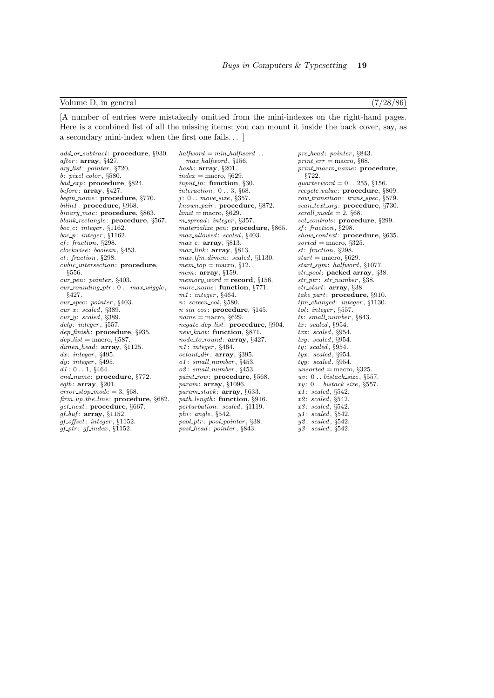### Volume D, in general (7/28/86)

[A number of entries were mistakenly omitted from the mini-indexes on the right-hand pages. Here is a combined list of all the missing items; you can mount it inside the back cover, say, as a secondary mini-index when the first one fails. . . ]

add\_or\_subtract: procedure, §930. after:  $array, §427.$ arg list: pointer , §720.  $b: pixel\_color, \S580.$ bad\_exp: procedure, §824.  $before:$   $array, §427.$ begin\_name: procedure, §770. bilin1: procedure, §968. binary\_mac: procedure, §863. blank\_rectangle: procedure, §567. boc<sub>-c</sub>: integer,  $§1162$ .  $boc_p$ : integer, §1162. cf: fraction, §298. clockwise : boolean, §453. ct: fraction, §298. cubic intersection: procedure, §556. cur pen: pointer , §403.  $cur\_rounding\_ptr: 0...max\_wiggle,$ §427. cur\_spec: pointer, §403.  $cur.x: scaled, §389.$  $cur\_y:~scaled,~§389.$ dely: integer, §557. dep\_finish: procedure, §935.  $dep\_list =$  macro, §587.  $dimensioned: array, §1125.$  $dx\colon\,integer,\,\$495.$  $dy:$  integer,  $§495.$  $d1: 0...1,$  §464. end\_name: procedure, §772.  $eqtb:$  array,  $\S 201$ . error stop mode  $=$  3,  $668$ . firm\_up\_the\_line: procedure, §682. get\_next: procedure, §667.  $qf_buf$ : array, §1152. gf offset: integer , §1152.  $gf\_ptr:$   $gf\_index$ ,  $§1152$ .

 $halfword = min\_halfword$ .. max halfword , §156. hash:  $array, §201.$  $index = macro, §629.$  $input\_ln$ : function,  $§30$ . interaction: 0 . . 3, §68.  $i: 0$ ... move\_size, §357. known pair : procedure, §872.  $limit = macro, §629.$ m\_spread: integer, §357. materialize\_pen: procedure, §865. max\_allowed: scaled, §403.  $max_c$ : array, §813.  $max_{\text{link}}$ : array, §813. max\_tfm\_dimen: scaled, §1130.  $mem\_top = macro, §12.$ mem:  $array, §159.$  $memory\_word = record$ , §156. more\_name: function, §771. m1 : integer , §464. n: screen\_col, §580. n\_sin\_cos: procedure, §145.  $\mathit{name} = \text{macro},$   $\S629.$ negate dep list: procedure, §904. new\_knot: function, §871. node\_to\_round: array, §427. n1 : integer , §464.  $octant\_dir \colon\thinspace \textbf{array}, \, \S 395.$ o1: small\_number, §453. o2: small\_number, §453. paint\_row: procedure, §568.  $param: array, §1096.$  $param\_stack$ :  $array$ , §633. path\_length: function, §916. perturbation: scaled, §1119. phi: angle,  $§542$ .  $_{pool\_ptr: pool\_pointer, §38.}$ post\_head: pointer, §843.

pre\_head: pointer, §843. print  $err =$  macro,  $668$ . print\_macro\_name: procedure, §722. quarterword  $= 0$ ... 255, §156. recycle\_value: procedure, §809. row transition: trans spec, §579. scan\_text\_arg: procedure, §730.  $scroll_model = 2, §68.$ set\_controls: procedure, §299. sf: fraction, §298. show\_context: procedure, §635.  $sorted = \text{macro}, \, \S325.$ st: fraction, §298.  $start =$ macro, §629. start\_sym: halfword, §1077. str\_pool: packed array, §38.  $str_+ptr$ :  $str_-number$ , §38.  $str\_start$ :  $array, §38.$ take part: procedure, §910. tfm changed : integer , §1130.  $tol$ : integer,  $$557$ . tt: small\_number, §843.  $tx: scaled, §954.$ txx : scaled , §954.  $txy: scaled, §954.$  $t\mathfrak{u}$ : scaled, §954.  $tyx: scaled, §954.$  $tyy: scaled, §954.$ unsorted = macro,  $§325$ .  $uv: 0...$  bistack\_size, §557.  $xy: 0$ .. bistack\_size, §557.  $x1: scaled, §542.$  $x2: scaled.$  \$542.  $x3: scaled, §542.$  $y1: scaled, §542.$  $yz: scaled, §542.$  $y3: scaled, §542.$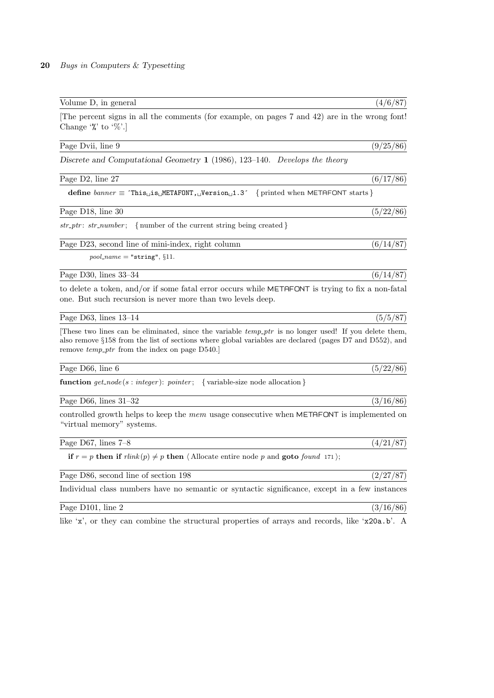| Volume D, in general                                                                                                                                                                                                                                                   | (4/6/87)  |
|------------------------------------------------------------------------------------------------------------------------------------------------------------------------------------------------------------------------------------------------------------------------|-----------|
| The percent signs in all the comments (for example, on pages 7 and 42) are in the wrong font!<br>Change $\mathcal{C}$ to $\mathcal{C}$ .                                                                                                                               |           |
| Page Dvii, line 9                                                                                                                                                                                                                                                      | (9/25/86) |
| Discrete and Computational Geometry $1$ (1986), 123-140. Develops the theory                                                                                                                                                                                           |           |
| Page D2, line 27                                                                                                                                                                                                                                                       | (6/17/86) |
| define $banner \equiv$ 'This <sub>L</sub> is <sub>L</sub> METAFONT, <sub>L</sub> Version <sub>L</sub> 1.3' {printed when METAFONT starts}                                                                                                                              |           |
| Page D18, line 30                                                                                                                                                                                                                                                      | (5/22/86) |
| $str\_ptr$ : $str\_number$ ; {number of the current string being created}                                                                                                                                                                                              |           |
| Page D23, second line of mini-index, right column                                                                                                                                                                                                                      | (6/14/87) |
| $pool_name = "string", §11.$                                                                                                                                                                                                                                           |           |
| Page D30, lines 33-34                                                                                                                                                                                                                                                  | (6/14/87) |
| to delete a token, and/or if some fatal error occurs while METAFONT is trying to fix a non-fatal<br>one. But such recursion is never more than two levels deep.                                                                                                        |           |
| Page D63, lines $13-14$                                                                                                                                                                                                                                                | (5/5/87)  |
| These two lines can be eliminated, since the variable $temp\_ptr$ is no longer used! If you delete them,<br>also remove §158 from the list of sections where global variables are declared (pages D7 and D552), and<br>remove $temp\_ptr$ from the index on page D540. |           |
| Page D66, line 6                                                                                                                                                                                                                                                       | (5/22/86) |
| function $get\_node(s:integer)$ : pointer; {variable-size node allocation}                                                                                                                                                                                             |           |
| Page D66, lines $31-32$                                                                                                                                                                                                                                                | (3/16/86) |
| controlled growth helps to keep the $mem$ usage consecutive when $METAFONT$ is implemented on<br>"virtual memory" systems.                                                                                                                                             |           |
| Page D67, lines $7-8$                                                                                                                                                                                                                                                  | (4/21/87) |
| if $r = p$ then if $\text{rlink}(p) \neq p$ then $\langle$ Allocate entire node p and goto found 171 $\rangle$ ;                                                                                                                                                       |           |
| Page D86, second line of section 198                                                                                                                                                                                                                                   | (2/27/87) |
| Individual class numbers have no semantic or syntactic significance, except in a few instances                                                                                                                                                                         |           |

Page D101, line 2 (3/16/86)

like 'x', or they can combine the structural properties of arrays and records, like 'x20a.b'. A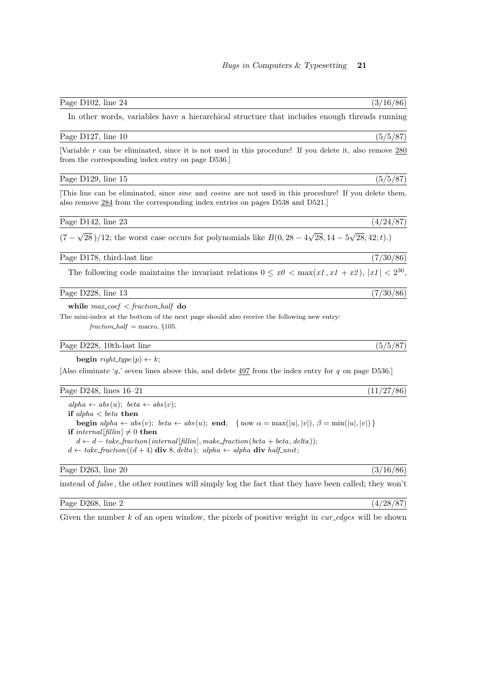| Page D102, line 24                                                                                                                                                                                                                                                                                                                                                                                                                                                                                | (3/16/86)  |
|---------------------------------------------------------------------------------------------------------------------------------------------------------------------------------------------------------------------------------------------------------------------------------------------------------------------------------------------------------------------------------------------------------------------------------------------------------------------------------------------------|------------|
| In other words, variables have a hierarchical structure that includes enough threads running                                                                                                                                                                                                                                                                                                                                                                                                      |            |
| Page D127, line 10                                                                                                                                                                                                                                                                                                                                                                                                                                                                                | (5/5/87)   |
| Variable r can be eliminated, since it is not used in this procedure! If you delete it, also remove $280$<br>from the corresponding index entry on page D536.                                                                                                                                                                                                                                                                                                                                     |            |
| Page D129, line 15                                                                                                                                                                                                                                                                                                                                                                                                                                                                                | (5/5/87)   |
| This line can be eliminated, since <i>sine</i> and <i>cosine</i> are not used in this procedure! If you delete them,<br>also remove $284$ from the corresponding index entries on pages D538 and D521.                                                                                                                                                                                                                                                                                            |            |
| Page D142, line 23                                                                                                                                                                                                                                                                                                                                                                                                                                                                                | (4/24/87)  |
| $(7 - \sqrt{28})/12$ ; the worst case occurs for polynomials like $B(0, 28 - 4\sqrt{28}, 14 - 5\sqrt{28}, 42; t)$ .                                                                                                                                                                                                                                                                                                                                                                               |            |
| Page D178, third-last line                                                                                                                                                                                                                                                                                                                                                                                                                                                                        | (7/30/86)  |
| The following code maintains the invariant relations $0 \le x_0 < \max(x_1, x_1 + x_2),  x_1  < 2^{30}$ ,                                                                                                                                                                                                                                                                                                                                                                                         |            |
| Page D228, line 13                                                                                                                                                                                                                                                                                                                                                                                                                                                                                | (7/30/86)  |
| while $max\_{coef} < fraction\_half$ do<br>The mini-index at the bottom of the next page should also receive the following new entry:<br>$fraction\_half = macro, §105.$                                                                                                                                                                                                                                                                                                                          |            |
| Page D228, 10th-last line                                                                                                                                                                                                                                                                                                                                                                                                                                                                         | (5/5/87)   |
| <b>begin</b> right_type(p) $\leftarrow k$ ;                                                                                                                                                                                                                                                                                                                                                                                                                                                       |            |
| [Also eliminate 'q,' seven lines above this, and delete $497$ from the index entry for q on page D536.]                                                                                                                                                                                                                                                                                                                                                                                           |            |
| Page D248, lines $16-21$                                                                                                                                                                                                                                                                                                                                                                                                                                                                          | (11/27/86) |
| $alpha \leftarrow abs(u); beta \leftarrow abs(v);$<br>if alpha $\lt$ beta then<br><b>begin</b> $alpha \leftarrow abs(v)$ ; $beta \leftarrow abs(u)$ ; <b>end</b> ; {now $\alpha = max( u ,  v )$ , $\beta = min( u ,  v )$ }<br><b>if</b> internal [fillin] $\neq 0$ <b>then</b><br>$d \leftarrow d - take\_fraction(internal[fillin], make\_fraction(beta + beta, delta));$<br>$d \leftarrow take\_fraction((d + 4) \textbf{ div } 8, delta); alpha \leftarrow alpha \textbf{ div } half\_unit;$ |            |

# Page D263, line 20 (3/16/86)

instead of *false*, the other routines will simply log the fact that they have been called; they won't

# Page D268, line 2 (4/28/87)

Given the number  $k$  of an open window, the pixels of positive weight in  $cur\_edges$  will be shown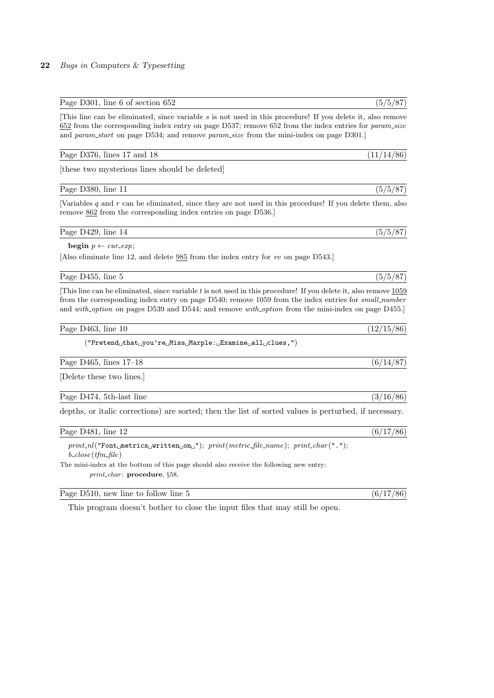### Page D301, line 6 of section  $652$  (5/5/87)

[This line can be eliminated, since variable s is not used in this procedure! If you delete it, also remove 652 from the corresponding index entry on page D537; remove 652 from the index entries for param size and param\_start on page D534; and remove param\_size from the mini-index on page D301.

### Page D376, lines 17 and 18 (11/14/86)

[these two mysterious lines should be deleted]

Page D380, line 11 (5/5/87)

[Variables  $q$  and  $r$  can be eliminated, since they are not used in this procedure! If you delete them, also remove  $862$  from the corresponding index entries on page D536.]

Page D429, line 14  $(5/5/87)$ 

# begin  $p \leftarrow cur\_exp$ ;

[Also eliminate line 12, and delete 985 from the index entry for vv on page D543.]

Page D455, line 5 (5/5/87)

[This line can be eliminated, since variable  $t$  is not used in this procedure! If you delete it, also remove  $1059$ from the corresponding index entry on page D540; remove 1059 from the index entries for *small\_number* and with option on pages D539 and D544; and remove with option from the mini-index on page D455.

Page D463, line 10 (12/15/86)

 $("Pretend<sub>U</sub>that<sub>U</sub>you're<sub>U</sub>Miss<sub>U</sub>Marple: <sub>U</sub>Example<sub>U</sub> and <sub>U</sub>values,")$ 

Page D465, lines 17–18 (6/14/87)

[Delete these two lines.]

Page D474, 5th-last line (3/16/86)

depths, or italic corrections) are sorted; then the list of sorted values is perturbed, if necessary.

Page D481, line 12  $(6/17/86)$ 

 $print\_nl("Font_\text{L}\texttt{metrics}_\text{L}\texttt{written}_\text{L}\texttt{on}_\text{L"});\ print(metric\_file\_name); \ print\_char(" . ");$  $b\_close$  (*tfm\_file*)

The mini-index at the bottom of this page should also receive the following new entry: print\_char: procedure, §58.

Page D510, new line to follow line 5  $(6/17/86)$ 

This program doesn't bother to close the input files that may still be open.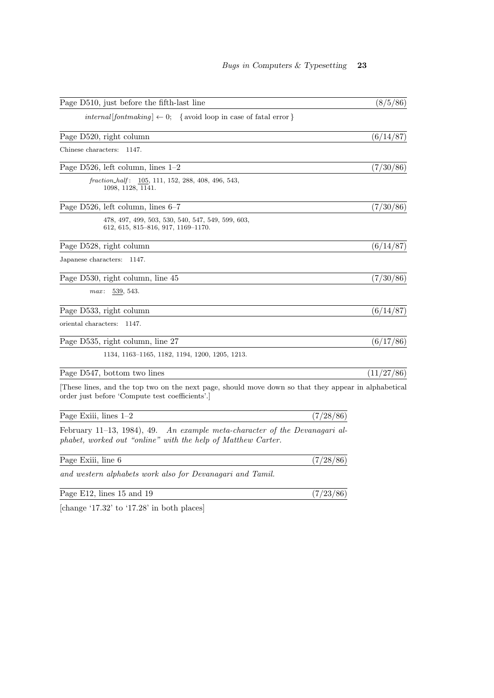| Page D510, just before the fifth-last line                                                                                                            | (8/5/86)   |
|-------------------------------------------------------------------------------------------------------------------------------------------------------|------------|
| <i>internal</i> [ <i>fontmaking</i> ] $\leftarrow 0$ ; { avoid loop in case of fatal error }                                                          |            |
| Page D520, right column                                                                                                                               | (6/14/87)  |
| Chinese characters:<br>1147.                                                                                                                          |            |
| Page D526, left column, lines $1-2$                                                                                                                   | (7/30/86)  |
| fraction_half: $105, 111, 152, 288, 408, 496, 543,$<br>1098, 1128, 1141.                                                                              |            |
| Page D526, left column, lines $6-7$                                                                                                                   | (7/30/86)  |
| 478, 497, 499, 503, 530, 540, 547, 549, 599, 603,<br>$612, 615, 815 - 816, 917, 1169 - 1170.$                                                         |            |
| Page D528, right column                                                                                                                               | (6/14/87)  |
| Japanese characters:<br>1147.                                                                                                                         |            |
| Page D530, right column, line 45                                                                                                                      | (7/30/86)  |
| max:<br>539, 543.                                                                                                                                     |            |
| Page D533, right column                                                                                                                               | (6/14/87)  |
| oriental characters:<br>1147.                                                                                                                         |            |
| Page D535, right column, line 27                                                                                                                      | (6/17/86)  |
| 1134, 1163–1165, 1182, 1194, 1200, 1205, 1213.                                                                                                        |            |
| Page D547, bottom two lines                                                                                                                           | (11/27/86) |
| These lines, and the top two on the next page, should move down so that they appear in alphabetical<br>order just before 'Compute test coefficients'. |            |
| Page Exiii, lines $1-2$                                                                                                                               | (7/28/86)  |
| February 11–13, 1984), 49. An example meta-character of the Devanagari al-<br>phabet, worked out "online" with the help of Matthew Carter.            |            |
| Page Exiii, line 6                                                                                                                                    | (7/28/86)  |
| and western alphabets work also for Devanagari and Tamil.                                                                                             |            |
| Page E12, lines 15 and 19                                                                                                                             | (7/23/86)  |

 $[\mathrm{change}\text{ }`17.32'\text{ to }\text{ }`17.28'\text{ in both places}]$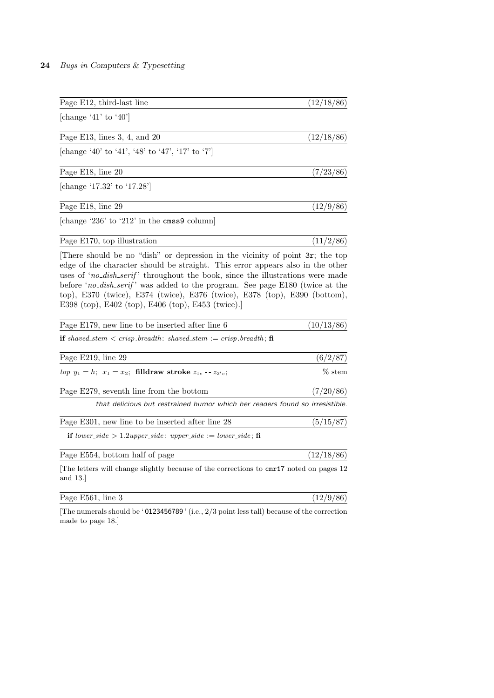| Page E12, third-last line                                                                                                                                                                                                                                                                                                                                                           | (12/18/86) |
|-------------------------------------------------------------------------------------------------------------------------------------------------------------------------------------------------------------------------------------------------------------------------------------------------------------------------------------------------------------------------------------|------------|
| [change '41' to '40']                                                                                                                                                                                                                                                                                                                                                               |            |
| Page E13, lines $3, 4$ , and $20$                                                                                                                                                                                                                                                                                                                                                   | (12/18/86) |
| [change '40' to '41', '48' to '47', '17' to '7']                                                                                                                                                                                                                                                                                                                                    |            |
| Page E18, line 20                                                                                                                                                                                                                                                                                                                                                                   | (7/23/86)  |
| [change '17.32' to '17.28']                                                                                                                                                                                                                                                                                                                                                         |            |
| Page E18, line 29                                                                                                                                                                                                                                                                                                                                                                   | (12/9/86)  |
| [change '236' to '212' in the cmss9 column]                                                                                                                                                                                                                                                                                                                                         |            |
| Page E170, top illustration                                                                                                                                                                                                                                                                                                                                                         | (11/2/86)  |
| edge of the character should be straight. This error appears also in the other<br>uses of 'no_dish_serif' throughout the book, since the illustrations were made<br>before 'no_dish_serif' was added to the program. See page E180 (twice at the<br>top), E370 (twice), E374 (twice), E376 (twice), E378 (top), E390 (bottom),<br>E398 (top), E402 (top), E406 (top), E453 (twice). |            |
| Page E179, new line to be inserted after line 6                                                                                                                                                                                                                                                                                                                                     | (10/13/86) |
| <b>if</b> shaved_stem $\lt$ crisp.breadth: shaved_stem $:=$ crisp.breadth; <b>fi</b>                                                                                                                                                                                                                                                                                                |            |
| Page E219, line 29                                                                                                                                                                                                                                                                                                                                                                  | (6/2/87)   |
| <i>top</i> $y_1 = h$ ; $x_1 = x_2$ ; <b>filldraw stroke</b> $z_{1e} - z_{2'e}$ ;                                                                                                                                                                                                                                                                                                    | $%$ stem   |
| Page E279, seventh line from the bottom                                                                                                                                                                                                                                                                                                                                             | (7/20/86)  |
| that delicious but restrained humor which her readers found so irresistible.                                                                                                                                                                                                                                                                                                        |            |
| Page E301, new line to be inserted after line 28                                                                                                                                                                                                                                                                                                                                    | (5/15/87)  |
| <b>if</b> lower_side > 1.2upper_side: upper_side := lower_side; fi                                                                                                                                                                                                                                                                                                                  |            |
| Page E554, bottom half of page                                                                                                                                                                                                                                                                                                                                                      | (12/18/86) |
| The letters will change slightly because of the corrections to cmr17 noted on pages 12<br>and $13.$                                                                                                                                                                                                                                                                                 |            |

[The numerals should be ' 0123456789 ' (i.e., 2/3 point less tall) because of the correction made to page 18.]